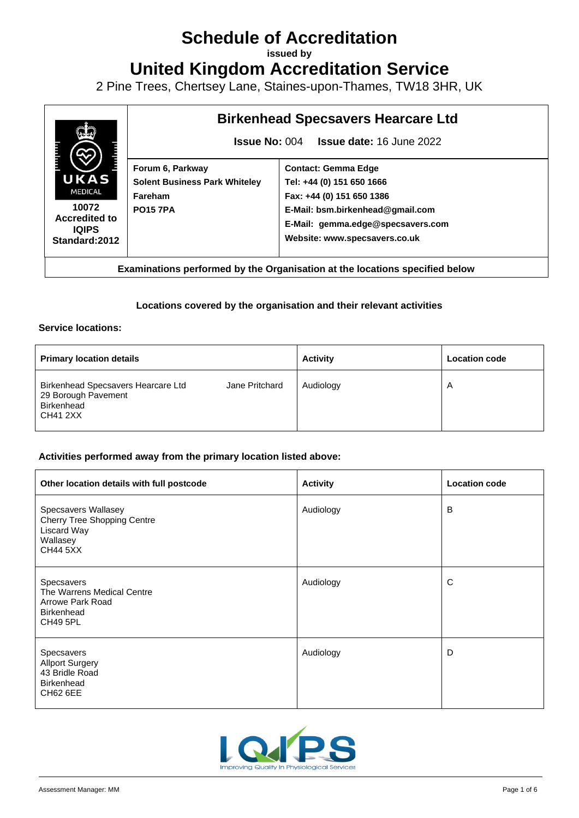# **Schedule of Accreditation**

**issued by**

**United Kingdom Accreditation Service**

2 Pine Trees, Chertsey Lane, Staines-upon-Thames, TW18 3HR, UK



**Examinations performed by the Organisation at the locations specified below**

#### **Locations covered by the organisation and their relevant activities**

#### **Service locations:**

| <b>Primary location details</b>                                                     |                | <b>Activity</b> | <b>Location code</b> |
|-------------------------------------------------------------------------------------|----------------|-----------------|----------------------|
| Birkenhead Specsavers Hearcare Ltd<br>29 Borough Pavement<br>Birkenhead<br>CH41 2XX | Jane Pritchard | Audiology       | A                    |

#### **Activities performed away from the primary location listed above:**

| Other location details with full postcode                                                                      | <b>Activity</b> | <b>Location code</b> |
|----------------------------------------------------------------------------------------------------------------|-----------------|----------------------|
| Specsavers Wallasey<br><b>Cherry Tree Shopping Centre</b><br><b>Liscard Way</b><br>Wallasey<br><b>CH44 5XX</b> | Audiology       | B                    |
| Specsavers<br>The Warrens Medical Centre<br>Arrowe Park Road<br><b>Birkenhead</b><br><b>CH49 5PL</b>           | Audiology       | C                    |
| Specsavers<br><b>Allport Surgery</b><br>43 Bridle Road<br><b>Birkenhead</b><br><b>CH62 6EE</b>                 | Audiology       | D                    |

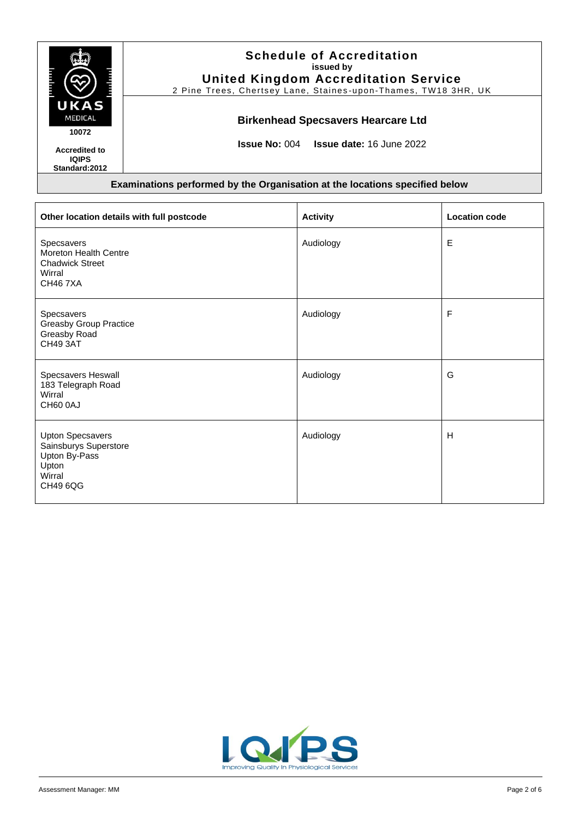|                                                        | <b>Schedule of Accreditation</b><br>issued by<br><b>United Kingdom Accreditation Service</b><br>2 Pine Trees, Chertsey Lane, Staines-upon-Thames, TW18 3HR, UK |
|--------------------------------------------------------|----------------------------------------------------------------------------------------------------------------------------------------------------------------|
| UKAS<br><b>MEDICAL</b><br>10072                        | <b>Birkenhead Specsavers Hearcare Ltd</b>                                                                                                                      |
| <b>Accredited to</b><br><b>IQIPS</b><br>Standard: 2012 | <b>Issue No: 004 Issue date: 16 June 2022</b>                                                                                                                  |

| Other location details with full postcode                                                        | <b>Activity</b> | <b>Location code</b> |
|--------------------------------------------------------------------------------------------------|-----------------|----------------------|
| Specsavers<br>Moreton Health Centre<br><b>Chadwick Street</b><br>Wirral<br><b>CH467XA</b>        | Audiology       | E                    |
| Specsavers<br><b>Greasby Group Practice</b><br>Greasby Road<br>CH49 3AT                          | Audiology       | F                    |
| Specsavers Heswall<br>183 Telegraph Road<br>Wirral<br>CH60 0AJ                                   | Audiology       | G                    |
| <b>Upton Specsavers</b><br>Sainsburys Superstore<br>Upton By-Pass<br>Upton<br>Wirral<br>CH49 6QG | Audiology       | H                    |

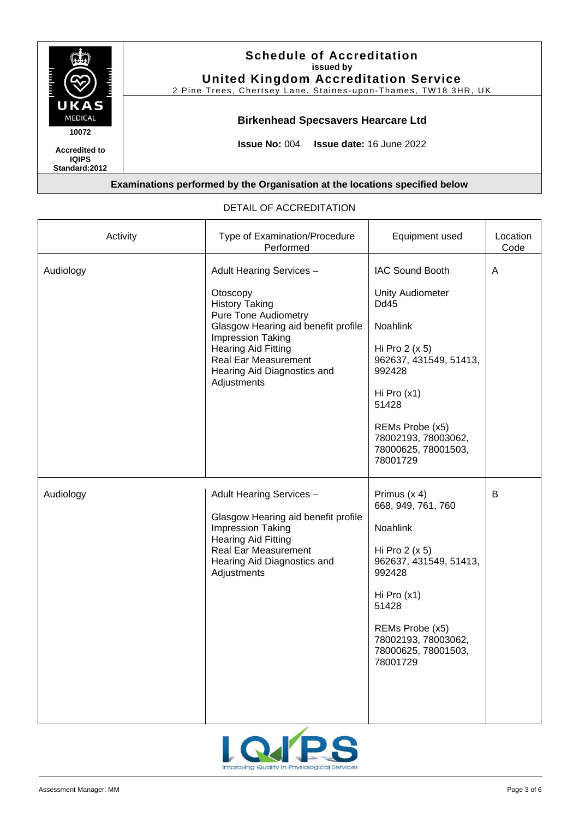

#### Activity **Type of Examination/Procedure** Performed Equipment used | Location Code Audiology Adult Hearing Services – **Otoscopy** History Taking Pure Tone Audiometry Glasgow Hearing aid benefit profile Impression Taking Hearing Aid Fitting Real Ear Measurement Hearing Aid Diagnostics and **Adjustments** IAC Sound Booth Unity Audiometer Dd45 Noahlink Hi Pro 2 (x 5) 962637, 431549, 51413, 992428 Hi Pro (x1) 51428 REMs Probe (x5) 78002193, 78003062, 78000625, 78001503, 78001729 A Audiology Adult Hearing Services – Glasgow Hearing aid benefit profile Impression Taking Hearing Aid Fitting Real Ear Measurement Hearing Aid Diagnostics and Adjustments Primus (x 4) 668, 949, 761, 760 Noahlink Hi Pro 2 (x 5) 962637, 431549, 51413, 992428 Hi Pro (x1) 51428 REMs Probe (x5) 78002193, 78003062, 78000625, 78001503, 78001729 B

#### DETAIL OF ACCREDITATION

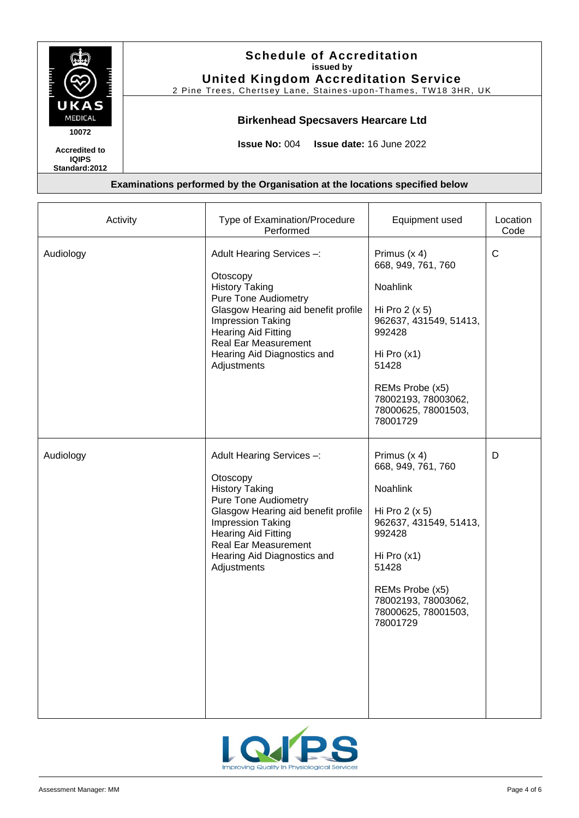

**IQIPS Standard:2012**

# **Schedule of Accreditation issued by United Kingdom Accreditation Service**

2 Pine Trees, Chertsey Lane, Staines-upon-Thames, TW18 3HR, UK

# **Birkenhead Specsavers Hearcare Ltd**

**Issue No:** 004 **Issue date:** 16 June 2022

| Activity  | Type of Examination/Procedure<br>Performed                                                                                                                                                                                                                                  | Equipment used                                                                                                                                                                                               | Location<br>Code |
|-----------|-----------------------------------------------------------------------------------------------------------------------------------------------------------------------------------------------------------------------------------------------------------------------------|--------------------------------------------------------------------------------------------------------------------------------------------------------------------------------------------------------------|------------------|
| Audiology | Adult Hearing Services -:<br>Otoscopy<br><b>History Taking</b><br><b>Pure Tone Audiometry</b><br>Glasgow Hearing aid benefit profile<br><b>Impression Taking</b><br><b>Hearing Aid Fitting</b><br><b>Real Ear Measurement</b><br>Hearing Aid Diagnostics and<br>Adjustments | Primus (x 4)<br>668, 949, 761, 760<br>Noahlink<br>Hi Pro $2(x 5)$<br>962637, 431549, 51413,<br>992428<br>Hi Pro $(x1)$<br>51428<br>REMs Probe (x5)<br>78002193, 78003062,<br>78000625, 78001503,<br>78001729 | $\mathsf{C}$     |
| Audiology | Adult Hearing Services -:<br>Otoscopy<br><b>History Taking</b><br><b>Pure Tone Audiometry</b><br>Glasgow Hearing aid benefit profile<br>Impression Taking<br><b>Hearing Aid Fitting</b><br><b>Real Ear Measurement</b><br>Hearing Aid Diagnostics and<br>Adjustments        | Primus (x 4)<br>668, 949, 761, 760<br>Noahlink<br>Hi Pro $2(x 5)$<br>962637, 431549, 51413,<br>992428<br>Hi Pro $(x1)$<br>51428<br>REMs Probe (x5)<br>78002193, 78003062,<br>78000625, 78001503,<br>78001729 | D                |

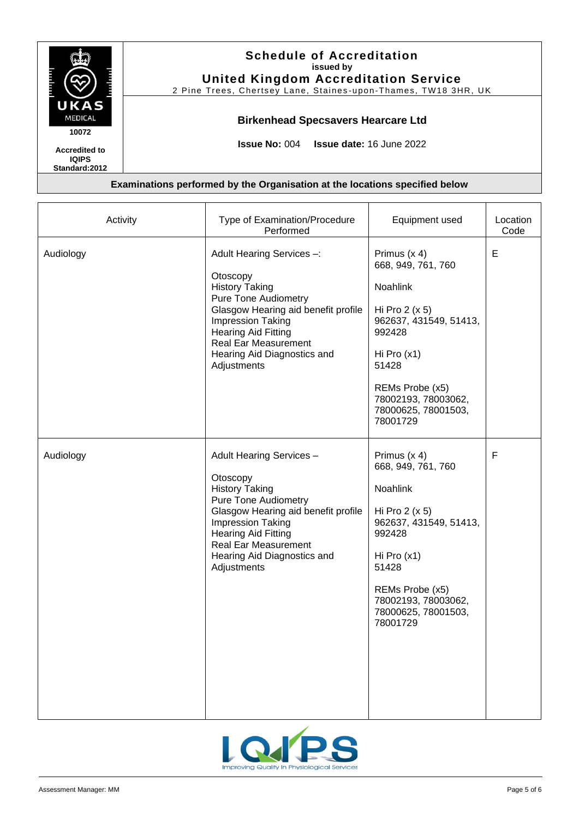

**IQIPS Standard:2012**

# **Schedule of Accreditation issued by United Kingdom Accreditation Service**

2 Pine Trees, Chertsey Lane, Staines-upon-Thames, TW18 3HR, UK

# **Birkenhead Specsavers Hearcare Ltd**

**Issue No:** 004 **Issue date:** 16 June 2022

| Activity  | Type of Examination/Procedure<br>Performed                                                                                                                                                                                                                                  | Equipment used                                                                                                                                                                                               | Location<br>Code |
|-----------|-----------------------------------------------------------------------------------------------------------------------------------------------------------------------------------------------------------------------------------------------------------------------------|--------------------------------------------------------------------------------------------------------------------------------------------------------------------------------------------------------------|------------------|
| Audiology | Adult Hearing Services -:<br>Otoscopy<br><b>History Taking</b><br><b>Pure Tone Audiometry</b><br>Glasgow Hearing aid benefit profile<br><b>Impression Taking</b><br><b>Hearing Aid Fitting</b><br><b>Real Ear Measurement</b><br>Hearing Aid Diagnostics and<br>Adjustments | Primus (x 4)<br>668, 949, 761, 760<br>Noahlink<br>Hi Pro $2(x 5)$<br>962637, 431549, 51413,<br>992428<br>Hi Pro $(x1)$<br>51428<br>REMs Probe (x5)<br>78002193, 78003062,<br>78000625, 78001503,<br>78001729 | E                |
| Audiology | Adult Hearing Services -<br>Otoscopy<br><b>History Taking</b><br><b>Pure Tone Audiometry</b><br>Glasgow Hearing aid benefit profile<br>Impression Taking<br><b>Hearing Aid Fitting</b><br><b>Real Ear Measurement</b><br>Hearing Aid Diagnostics and<br>Adjustments         | Primus (x 4)<br>668, 949, 761, 760<br>Noahlink<br>Hi Pro $2(x 5)$<br>962637, 431549, 51413,<br>992428<br>Hi Pro $(x1)$<br>51428<br>REMs Probe (x5)<br>78002193, 78003062,<br>78000625, 78001503,<br>78001729 | F                |